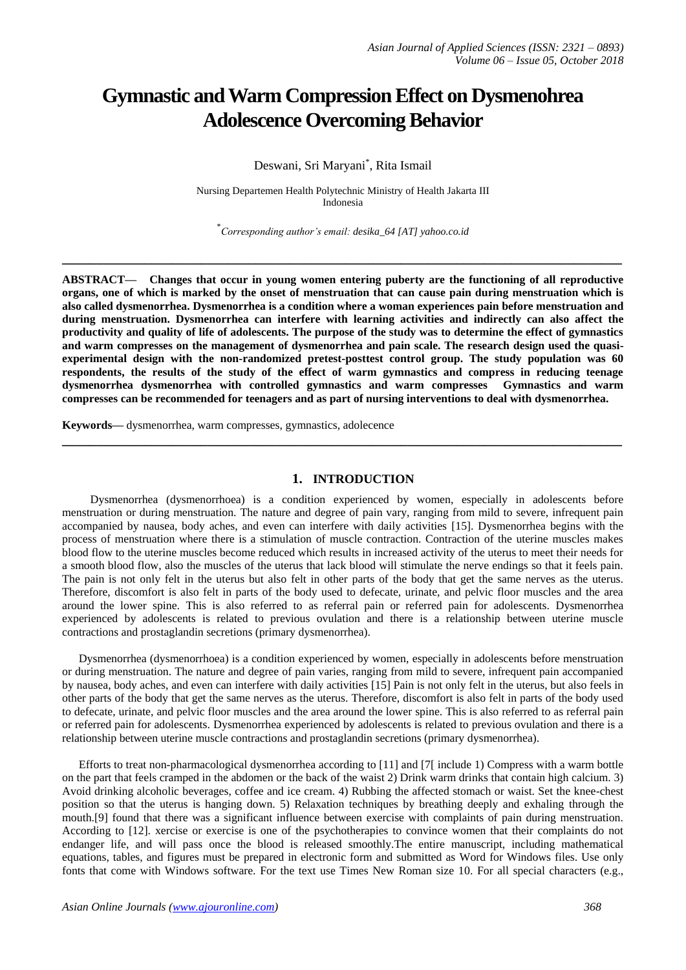# **Gymnastic and Warm Compression Effect on Dysmenohrea Adolescence Overcoming Behavior**

Deswani, Sri Maryani\* , Rita Ismail

Nursing Departemen Health Polytechnic Ministry of Health Jakarta III Indonesia

\* *Corresponding author's email: desika\_64 [AT] yahoo.co.id* 

**\_\_\_\_\_\_\_\_\_\_\_\_\_\_\_\_\_\_\_\_\_\_\_\_\_\_\_\_\_\_\_\_\_\_\_\_\_\_\_\_\_\_\_\_\_\_\_\_\_\_\_\_\_\_\_\_\_\_\_\_\_\_\_\_\_\_\_\_\_\_\_\_\_\_\_\_\_\_\_\_\_**

**ABSTRACT— Changes that occur in young women entering puberty are the functioning of all reproductive organs, one of which is marked by the onset of menstruation that can cause pain during menstruation which is also called dysmenorrhea. Dysmenorrhea is a condition where a woman experiences pain before menstruation and during menstruation. Dysmenorrhea can interfere with learning activities and indirectly can also affect the productivity and quality of life of adolescents. The purpose of the study was to determine the effect of gymnastics and warm compresses on the management of dysmenorrhea and pain scale. The research design used the quasiexperimental design with the non-randomized pretest-posttest control group. The study population was 60 respondents, the results of the study of the effect of warm gymnastics and compress in reducing teenage dysmenorrhea dysmenorrhea with controlled gymnastics and warm compresses Gymnastics and warm compresses can be recommended for teenagers and as part of nursing interventions to deal with dysmenorrhea.**

**Keywords—** dysmenorrhea, warm compresses, gymnastics, adolecence

## **1. INTRODUCTION**

**\_\_\_\_\_\_\_\_\_\_\_\_\_\_\_\_\_\_\_\_\_\_\_\_\_\_\_\_\_\_\_\_\_\_\_\_\_\_\_\_\_\_\_\_\_\_\_\_\_\_\_\_\_\_\_\_\_\_\_\_\_\_\_\_\_\_\_\_\_\_\_\_\_\_\_\_\_\_\_\_\_**

 Dysmenorrhea (dysmenorrhoea) is a condition experienced by women, especially in adolescents before menstruation or during menstruation. The nature and degree of pain vary, ranging from mild to severe, infrequent pain accompanied by nausea, body aches, and even can interfere with daily activities [15]. Dysmenorrhea begins with the process of menstruation where there is a stimulation of muscle contraction. Contraction of the uterine muscles makes blood flow to the uterine muscles become reduced which results in increased activity of the uterus to meet their needs for a smooth blood flow, also the muscles of the uterus that lack blood will stimulate the nerve endings so that it feels pain. The pain is not only felt in the uterus but also felt in other parts of the body that get the same nerves as the uterus. Therefore, discomfort is also felt in parts of the body used to defecate, urinate, and pelvic floor muscles and the area around the lower spine. This is also referred to as referral pain or referred pain for adolescents. Dysmenorrhea experienced by adolescents is related to previous ovulation and there is a relationship between uterine muscle contractions and prostaglandin secretions (primary dysmenorrhea).

Dysmenorrhea (dysmenorrhoea) is a condition experienced by women, especially in adolescents before menstruation or during menstruation. The nature and degree of pain varies, ranging from mild to severe, infrequent pain accompanied by nausea, body aches, and even can interfere with daily activities [15] Pain is not only felt in the uterus, but also feels in other parts of the body that get the same nerves as the uterus. Therefore, discomfort is also felt in parts of the body used to defecate, urinate, and pelvic floor muscles and the area around the lower spine. This is also referred to as referral pain or referred pain for adolescents. Dysmenorrhea experienced by adolescents is related to previous ovulation and there is a relationship between uterine muscle contractions and prostaglandin secretions (primary dysmenorrhea).

Efforts to treat non-pharmacological dysmenorrhea according to [11] and [7[ include 1) Compress with a warm bottle on the part that feels cramped in the abdomen or the back of the waist 2) Drink warm drinks that contain high calcium. 3) Avoid drinking alcoholic beverages, coffee and ice cream. 4) Rubbing the affected stomach or waist. Set the knee-chest position so that the uterus is hanging down. 5) Relaxation techniques by breathing deeply and exhaling through the mouth.[9] found that there was a significant influence between exercise with complaints of pain during menstruation. According to [12]. xercise or exercise is one of the psychotherapies to convince women that their complaints do not endanger life, and will pass once the blood is released smoothly.The entire manuscript, including mathematical equations, tables, and figures must be prepared in electronic form and submitted as Word for Windows files. Use only fonts that come with Windows software. For the text use Times New Roman size 10. For all special characters (e.g.,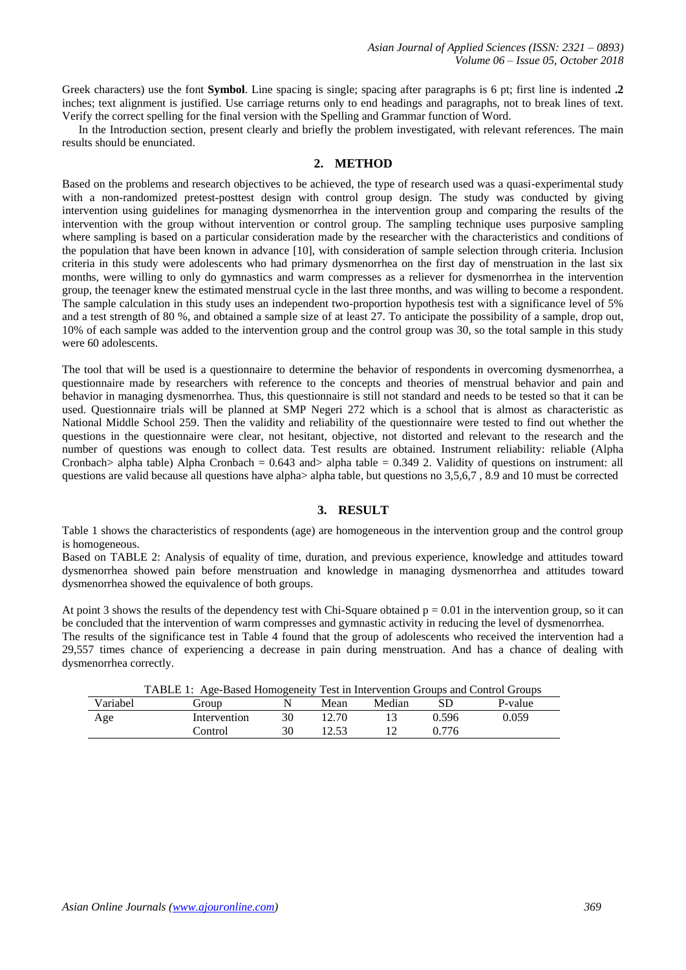Greek characters) use the font **Symbol**. Line spacing is single; spacing after paragraphs is 6 pt; first line is indented **.2** inches; text alignment is justified. Use carriage returns only to end headings and paragraphs, not to break lines of text. Verify the correct spelling for the final version with the Spelling and Grammar function of Word.

In the Introduction section, present clearly and briefly the problem investigated, with relevant references. The main results should be enunciated.

## **2. METHOD**

Based on the problems and research objectives to be achieved, the type of research used was a quasi-experimental study with a non-randomized pretest-posttest design with control group design. The study was conducted by giving intervention using guidelines for managing dysmenorrhea in the intervention group and comparing the results of the intervention with the group without intervention or control group. The sampling technique uses purposive sampling where sampling is based on a particular consideration made by the researcher with the characteristics and conditions of the population that have been known in advance [10], with consideration of sample selection through criteria. Inclusion criteria in this study were adolescents who had primary dysmenorrhea on the first day of menstruation in the last six months, were willing to only do gymnastics and warm compresses as a reliever for dysmenorrhea in the intervention group, the teenager knew the estimated menstrual cycle in the last three months, and was willing to become a respondent. The sample calculation in this study uses an independent two-proportion hypothesis test with a significance level of 5% and a test strength of 80 %, and obtained a sample size of at least 27. To anticipate the possibility of a sample, drop out, 10% of each sample was added to the intervention group and the control group was 30, so the total sample in this study were 60 adolescents.

The tool that will be used is a questionnaire to determine the behavior of respondents in overcoming dysmenorrhea, a questionnaire made by researchers with reference to the concepts and theories of menstrual behavior and pain and behavior in managing dysmenorrhea. Thus, this questionnaire is still not standard and needs to be tested so that it can be used. Questionnaire trials will be planned at SMP Negeri 272 which is a school that is almost as characteristic as National Middle School 259. Then the validity and reliability of the questionnaire were tested to find out whether the questions in the questionnaire were clear, not hesitant, objective, not distorted and relevant to the research and the number of questions was enough to collect data. Test results are obtained. Instrument reliability: reliable (Alpha Cronbach> alpha table) Alpha Cronbach = 0.643 and> alpha table = 0.349 2. Validity of questions on instrument: all questions are valid because all questions have alpha $>$  alpha table, but questions no 3,5,6,7, 8.9 and 10 must be corrected

## **3. RESULT**

Table 1 shows the characteristics of respondents (age) are homogeneous in the intervention group and the control group is homogeneous.

Based on TABLE 2: Analysis of equality of time, duration, and previous experience, knowledge and attitudes toward dysmenorrhea showed pain before menstruation and knowledge in managing dysmenorrhea and attitudes toward dysmenorrhea showed the equivalence of both groups.

At point 3 shows the results of the dependency test with Chi-Square obtained  $p = 0.01$  in the intervention group, so it can be concluded that the intervention of warm compresses and gymnastic activity in reducing the level of dysmenorrhea. The results of the significance test in Table 4 found that the group of adolescents who received the intervention had a 29,557 times chance of experiencing a decrease in pain during menstruation. And has a chance of dealing with dysmenorrhea correctly.

|          | TABLE 1: Age-Based Homogeneity Test in Intervention Groups and Control Groups |       |        |       |         |  |
|----------|-------------------------------------------------------------------------------|-------|--------|-------|---------|--|
| Variabel | Group                                                                         | Mean  | Median |       | P-value |  |
| Age      | Intervention                                                                  | 12.70 |        | 0.596 | 0.059   |  |
|          | Control                                                                       | 12.53 |        | 0.776 |         |  |

| TABLE 1: Age-Based Homogeneity Test in Intervention Groups and Control Groups |  |  |  |
|-------------------------------------------------------------------------------|--|--|--|
|                                                                               |  |  |  |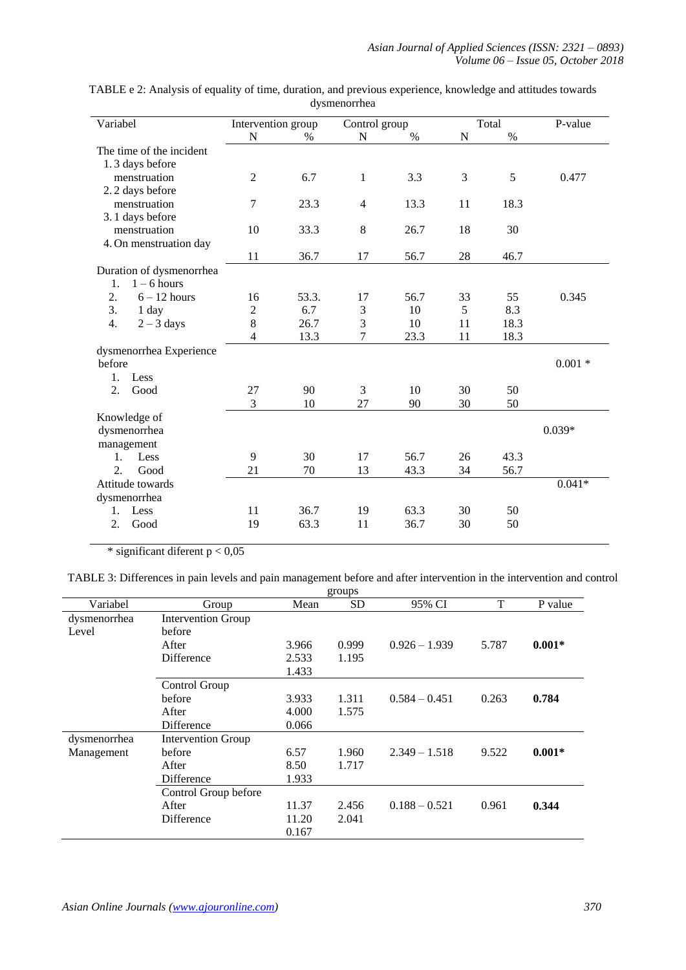| Variabel                 | Intervention group |       |                | Control group |    | Total | P-value  |
|--------------------------|--------------------|-------|----------------|---------------|----|-------|----------|
|                          | N                  | $\%$  | N              | $\%$          | N  | $\%$  |          |
| The time of the incident |                    |       |                |               |    |       |          |
| 1.3 days before          |                    |       |                |               |    |       |          |
| menstruation             | $\overline{2}$     | 6.7   | $\mathbf{1}$   | 3.3           | 3  | 5     | 0.477    |
| 2.2 days before          |                    |       |                |               |    |       |          |
| menstruation             | 7                  | 23.3  | $\overline{4}$ | 13.3          | 11 | 18.3  |          |
| 3.1 days before          |                    |       |                |               |    |       |          |
| menstruation             | 10                 | 33.3  | 8              | 26.7          | 18 | 30    |          |
| 4. On menstruation day   |                    |       |                |               |    |       |          |
|                          | 11                 | 36.7  | 17             | 56.7          | 28 | 46.7  |          |
| Duration of dysmenorrhea |                    |       |                |               |    |       |          |
| $1 - 6$ hours<br>1.      |                    |       |                |               |    |       |          |
| 2.<br>$6 - 12$ hours     | 16                 | 53.3. | 17             | 56.7          | 33 | 55    | 0.345    |
| 3.<br>1 day              | $\overline{c}$     | 6.7   | 3              | 10            | 5  | 8.3   |          |
| 4.<br>$2 - 3$ days       | 8                  | 26.7  | 3              | 10            | 11 | 18.3  |          |
|                          | 4                  | 13.3  | 7              | 23.3          | 11 | 18.3  |          |
| dysmenorrhea Experience  |                    |       |                |               |    |       |          |
| before                   |                    |       |                |               |    |       | $0.001*$ |
| Less<br>1.               |                    |       |                |               |    |       |          |
| 2.<br>Good               | 27                 | 90    | 3              | 10            | 30 | 50    |          |
|                          | 3                  | 10    | 27             | 90            | 30 | 50    |          |
| Knowledge of             |                    |       |                |               |    |       |          |
| dysmenorrhea             |                    |       |                |               |    |       | $0.039*$ |
| management               |                    |       |                |               |    |       |          |
| Less<br>1.               | 9                  | 30    | 17             | 56.7          | 26 | 43.3  |          |
| 2.<br>Good               | 21                 | 70    | 13             | 43.3          | 34 | 56.7  |          |
| Attitude towards         |                    |       |                |               |    |       | $0.041*$ |
| dysmenorrhea             |                    |       |                |               |    |       |          |
| Less<br>1.               | 11                 | 36.7  | 19             | 63.3          | 30 | 50    |          |
| 2.<br>Good               | 19                 | 63.3  | 11             | 36.7          | 30 | 50    |          |

TABLE e 2: Analysis of equality of time, duration, and previous experience, knowledge and attitudes towards dysmenorrhea

\* significant diferent  $p < 0.05$ 

TABLE 3: Differences in pain levels and pain management before and after intervention in the intervention and control

|              |                           |       | groups    |                 |       |          |
|--------------|---------------------------|-------|-----------|-----------------|-------|----------|
| Variabel     | Group                     | Mean  | <b>SD</b> | 95% CI          | T     | P value  |
| dysmenorrhea | <b>Intervention Group</b> |       |           |                 |       |          |
| Level        | before                    |       |           |                 |       |          |
|              | After                     | 3.966 | 0.999     | $0.926 - 1.939$ | 5.787 | $0.001*$ |
|              | Difference                | 2.533 | 1.195     |                 |       |          |
|              |                           | 1.433 |           |                 |       |          |
|              | Control Group             |       |           |                 |       |          |
|              | before                    | 3.933 | 1.311     | $0.584 - 0.451$ | 0.263 | 0.784    |
|              | After                     | 4.000 | 1.575     |                 |       |          |
|              | <b>Difference</b>         | 0.066 |           |                 |       |          |
| dysmenorrhea | <b>Intervention Group</b> |       |           |                 |       |          |
| Management   | before                    | 6.57  | 1.960     | $2.349 - 1.518$ | 9.522 | $0.001*$ |
|              | After                     | 8.50  | 1.717     |                 |       |          |
|              | Difference                | 1.933 |           |                 |       |          |
|              | Control Group before      |       |           |                 |       |          |
|              | After                     | 11.37 | 2.456     | $0.188 - 0.521$ | 0.961 | 0.344    |
|              | <b>Difference</b>         | 11.20 | 2.041     |                 |       |          |
|              |                           | 0.167 |           |                 |       |          |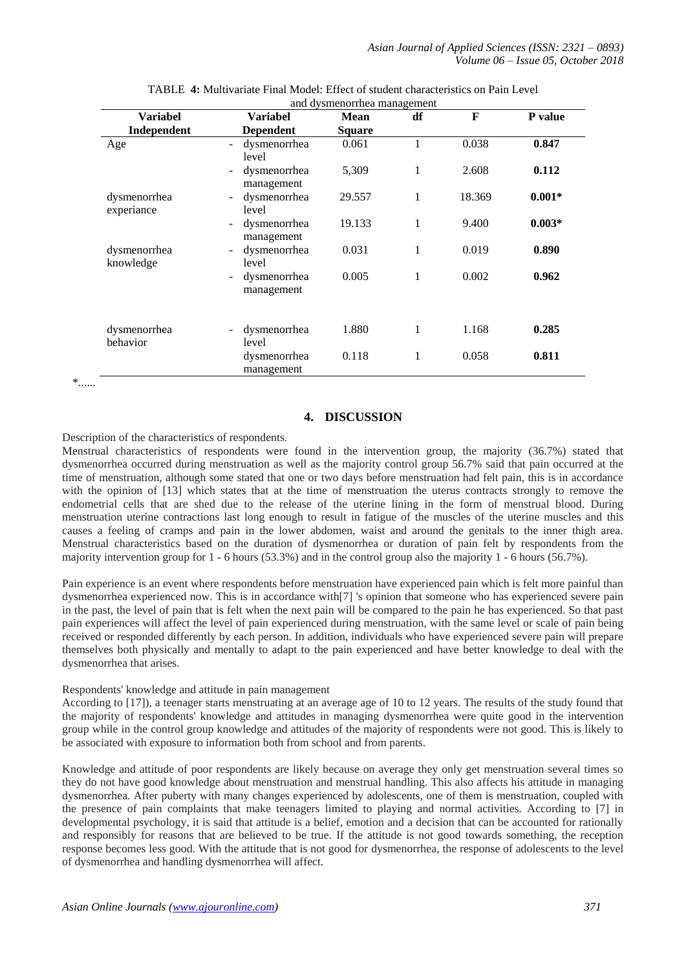|                            |                                                   | and dystriction that management |    |        |          |
|----------------------------|---------------------------------------------------|---------------------------------|----|--------|----------|
| <b>Variabel</b>            | <b>Variabel</b>                                   | <b>Mean</b>                     | df | F      | P value  |
| Independent                | <b>Dependent</b>                                  | Square                          |    |        |          |
| Age                        | dysmenorrhea<br>-<br>level                        | 0.061                           | 1  | 0.038  | 0.847    |
|                            | dysmenorrhea<br>-<br>management                   | 5,309                           | 1  | 2.608  | 0.112    |
| dysmenorrhea<br>experiance | dysmenorrhea<br>$\overline{\phantom{0}}$<br>level | 29.557                          | 1  | 18.369 | $0.001*$ |
|                            | dysmenorrhea<br>۰<br>management                   | 19.133                          | 1  | 9.400  | $0.003*$ |
| dysmenorrhea<br>knowledge  | dysmenorrhea<br>level                             | 0.031                           | 1  | 0.019  | 0.890    |
|                            | dysmenorrhea<br>-<br>management                   | 0.005                           | 1  | 0.002  | 0.962    |
| dysmenorrhea<br>behavior   | dysmenorrhea<br>-<br>level                        | 1.880                           | 1  | 1.168  | 0.285    |
|                            | dysmenorrhea<br>management                        | 0.118                           | 1  | 0.058  | 0.811    |

| TABLE 4: Multivariate Final Model: Effect of student characteristics on Pain Level |  |
|------------------------------------------------------------------------------------|--|
| and dramanambas managamant                                                         |  |

 $\ast$  ......

## **4. DISCUSSION**

Description of the characteristics of respondents.

Menstrual characteristics of respondents were found in the intervention group, the majority (36.7%) stated that dysmenorrhea occurred during menstruation as well as the majority control group 56.7% said that pain occurred at the time of menstruation, although some stated that one or two days before menstruation had felt pain, this is in accordance with the opinion of [13] which states that at the time of menstruation the uterus contracts strongly to remove the endometrial cells that are shed due to the release of the uterine lining in the form of menstrual blood. During menstruation uterine contractions last long enough to result in fatigue of the muscles of the uterine muscles and this causes a feeling of cramps and pain in the lower abdomen, waist and around the genitals to the inner thigh area. Menstrual characteristics based on the duration of dysmenorrhea or duration of pain felt by respondents from the majority intervention group for 1 - 6 hours (53.3%) and in the control group also the majority 1 - 6 hours (56.7%).

Pain experience is an event where respondents before menstruation have experienced pain which is felt more painful than dysmenorrhea experienced now. This is in accordance with[7] 's opinion that someone who has experienced severe pain in the past, the level of pain that is felt when the next pain will be compared to the pain he has experienced. So that past pain experiences will affect the level of pain experienced during menstruation, with the same level or scale of pain being received or responded differently by each person. In addition, individuals who have experienced severe pain will prepare themselves both physically and mentally to adapt to the pain experienced and have better knowledge to deal with the dysmenorrhea that arises.

## Respondents' knowledge and attitude in pain management

According to [17]), a teenager starts menstruating at an average age of 10 to 12 years. The results of the study found that the majority of respondents' knowledge and attitudes in managing dysmenorrhea were quite good in the intervention group while in the control group knowledge and attitudes of the majority of respondents were not good. This is likely to be associated with exposure to information both from school and from parents.

Knowledge and attitude of poor respondents are likely because on average they only get menstruation several times so they do not have good knowledge about menstruation and menstrual handling. This also affects his attitude in managing dysmenorrhea. After puberty with many changes experienced by adolescents, one of them is menstruation, coupled with the presence of pain complaints that make teenagers limited to playing and normal activities. According to [7] in developmental psychology, it is said that attitude is a belief, emotion and a decision that can be accounted for rationally and responsibly for reasons that are believed to be true. If the attitude is not good towards something, the reception response becomes less good. With the attitude that is not good for dysmenorrhea, the response of adolescents to the level of dysmenorrhea and handling dysmenorrhea will affect.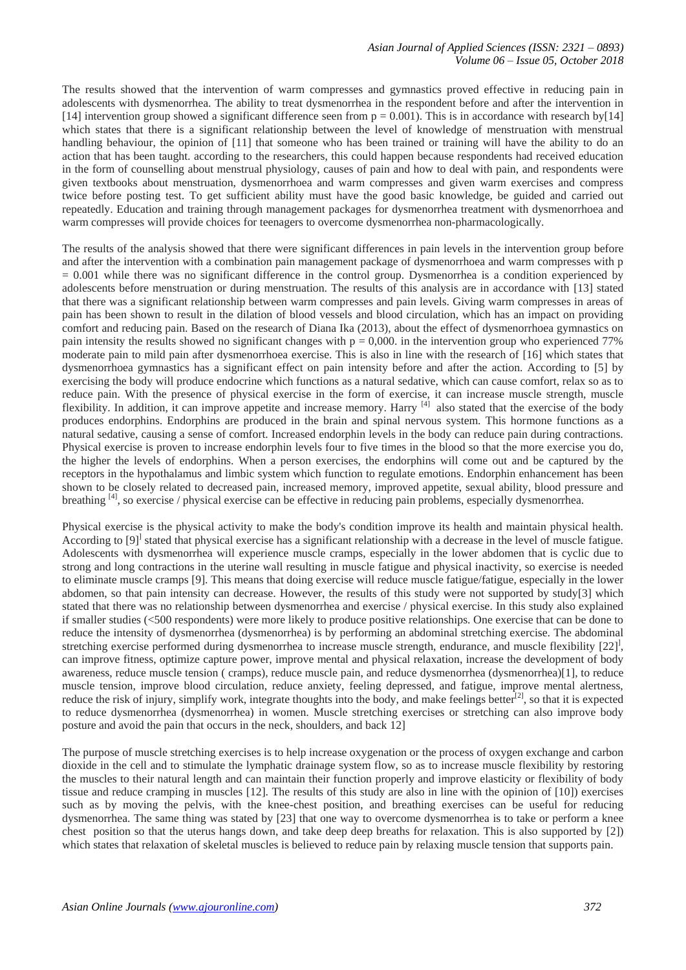The results showed that the intervention of warm compresses and gymnastics proved effective in reducing pain in adolescents with dysmenorrhea. The ability to treat dysmenorrhea in the respondent before and after the intervention in [14] intervention group showed a significant difference seen from  $p = 0.001$ ). This is in accordance with research by[14] which states that there is a significant relationship between the level of knowledge of menstruation with menstrual handling behaviour, the opinion of [11] that someone who has been trained or training will have the ability to do an action that has been taught. according to the researchers, this could happen because respondents had received education in the form of counselling about menstrual physiology, causes of pain and how to deal with pain, and respondents were given textbooks about menstruation, dysmenorrhoea and warm compresses and given warm exercises and compress twice before posting test. To get sufficient ability must have the good basic knowledge, be guided and carried out repeatedly. Education and training through management packages for dysmenorrhea treatment with dysmenorrhoea and warm compresses will provide choices for teenagers to overcome dysmenorrhea non-pharmacologically.

The results of the analysis showed that there were significant differences in pain levels in the intervention group before and after the intervention with a combination pain management package of dysmenorrhoea and warm compresses with p  $= 0.001$  while there was no significant difference in the control group. Dysmenorrhea is a condition experienced by adolescents before menstruation or during menstruation. The results of this analysis are in accordance with [13] stated that there was a significant relationship between warm compresses and pain levels. Giving warm compresses in areas of pain has been shown to result in the dilation of blood vessels and blood circulation, which has an impact on providing comfort and reducing pain. Based on the research of Diana Ika (2013), about the effect of dysmenorrhoea gymnastics on pain intensity the results showed no significant changes with  $p = 0,000$ . in the intervention group who experienced 77% moderate pain to mild pain after dysmenorrhoea exercise. This is also in line with the research of [16] which states that dysmenorrhoea gymnastics has a significant effect on pain intensity before and after the action. According to [5] by exercising the body will produce endocrine which functions as a natural sedative, which can cause comfort, relax so as to reduce pain. With the presence of physical exercise in the form of exercise, it can increase muscle strength, muscle flexibility. In addition, it can improve appetite and increase memory. Harry <sup>[4]</sup> also stated that the exercise of the body produces endorphins. Endorphins are produced in the brain and spinal nervous system. This hormone functions as a natural sedative, causing a sense of comfort. Increased endorphin levels in the body can reduce pain during contractions. Physical exercise is proven to increase endorphin levels four to five times in the blood so that the more exercise you do, the higher the levels of endorphins. When a person exercises, the endorphins will come out and be captured by the receptors in the hypothalamus and limbic system which function to regulate emotions. Endorphin enhancement has been shown to be closely related to decreased pain, increased memory, improved appetite, sexual ability, blood pressure and breathing [4], so exercise / physical exercise can be effective in reducing pain problems, especially dysmenorrhea.

Physical exercise is the physical activity to make the body's condition improve its health and maintain physical health. According to [9]<sup>1</sup> stated that physical exercise has a significant relationship with a decrease in the level of muscle fatigue. Adolescents with dysmenorrhea will experience muscle cramps, especially in the lower abdomen that is cyclic due to strong and long contractions in the uterine wall resulting in muscle fatigue and physical inactivity, so exercise is needed to eliminate muscle cramps [9]. This means that doing exercise will reduce muscle fatigue/fatigue, especially in the lower abdomen, so that pain intensity can decrease. However, the results of this study were not supported by study[3] which stated that there was no relationship between dysmenorrhea and exercise / physical exercise. In this study also explained if smaller studies (<500 respondents) were more likely to produce positive relationships. One exercise that can be done to reduce the intensity of dysmenorrhea (dysmenorrhea) is by performing an abdominal stretching exercise. The abdominal stretching exercise performed during dysmenorrhea to increase muscle strength, endurance, and muscle flexibility [22]<sup>1</sup>, can improve fitness, optimize capture power, improve mental and physical relaxation, increase the development of body awareness, reduce muscle tension ( cramps), reduce muscle pain, and reduce dysmenorrhea (dysmenorrhea)[1], to reduce muscle tension, improve blood circulation, reduce anxiety, feeling depressed, and fatigue, improve mental alertness, reduce the risk of injury, simplify work, integrate thoughts into the body, and make feelings better $[2]$ , so that it is expected to reduce dysmenorrhea (dysmenorrhea) in women. Muscle stretching exercises or stretching can also improve body posture and avoid the pain that occurs in the neck, shoulders, and back 12]

The purpose of muscle stretching exercises is to help increase oxygenation or the process of oxygen exchange and carbon dioxide in the cell and to stimulate the lymphatic drainage system flow, so as to increase muscle flexibility by restoring the muscles to their natural length and can maintain their function properly and improve elasticity or flexibility of body tissue and reduce cramping in muscles [12]. The results of this study are also in line with the opinion of [10]) exercises such as by moving the pelvis, with the knee-chest position, and breathing exercises can be useful for reducing dysmenorrhea. The same thing was stated by [23] that one way to overcome dysmenorrhea is to take or perform a knee chest position so that the uterus hangs down, and take deep deep breaths for relaxation. This is also supported by [2]) which states that relaxation of skeletal muscles is believed to reduce pain by relaxing muscle tension that supports pain.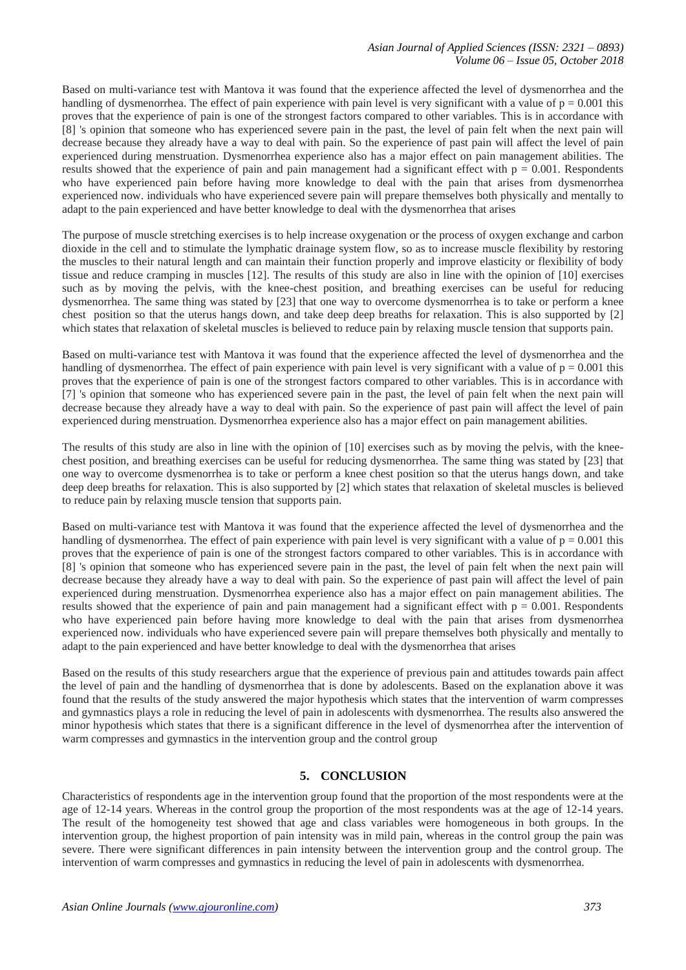Based on multi-variance test with Mantova it was found that the experience affected the level of dysmenorrhea and the handling of dysmenorrhea. The effect of pain experience with pain level is very significant with a value of  $p = 0.001$  this proves that the experience of pain is one of the strongest factors compared to other variables. This is in accordance with [8] 's opinion that someone who has experienced severe pain in the past, the level of pain felt when the next pain will decrease because they already have a way to deal with pain. So the experience of past pain will affect the level of pain experienced during menstruation. Dysmenorrhea experience also has a major effect on pain management abilities. The results showed that the experience of pain and pain management had a significant effect with  $p = 0.001$ . Respondents who have experienced pain before having more knowledge to deal with the pain that arises from dysmenorrhea experienced now. individuals who have experienced severe pain will prepare themselves both physically and mentally to adapt to the pain experienced and have better knowledge to deal with the dysmenorrhea that arises

The purpose of muscle stretching exercises is to help increase oxygenation or the process of oxygen exchange and carbon dioxide in the cell and to stimulate the lymphatic drainage system flow, so as to increase muscle flexibility by restoring the muscles to their natural length and can maintain their function properly and improve elasticity or flexibility of body tissue and reduce cramping in muscles [12]. The results of this study are also in line with the opinion of [10] exercises such as by moving the pelvis, with the knee-chest position, and breathing exercises can be useful for reducing dysmenorrhea. The same thing was stated by [23] that one way to overcome dysmenorrhea is to take or perform a knee chest position so that the uterus hangs down, and take deep deep breaths for relaxation. This is also supported by [2] which states that relaxation of skeletal muscles is believed to reduce pain by relaxing muscle tension that supports pain.

Based on multi-variance test with Mantova it was found that the experience affected the level of dysmenorrhea and the handling of dysmenorrhea. The effect of pain experience with pain level is very significant with a value of  $p = 0.001$  this proves that the experience of pain is one of the strongest factors compared to other variables. This is in accordance with [7] 's opinion that someone who has experienced severe pain in the past, the level of pain felt when the next pain will decrease because they already have a way to deal with pain. So the experience of past pain will affect the level of pain experienced during menstruation. Dysmenorrhea experience also has a major effect on pain management abilities.

The results of this study are also in line with the opinion of [10] exercises such as by moving the pelvis, with the kneechest position, and breathing exercises can be useful for reducing dysmenorrhea. The same thing was stated by [23] that one way to overcome dysmenorrhea is to take or perform a knee chest position so that the uterus hangs down, and take deep deep breaths for relaxation. This is also supported by [2] which states that relaxation of skeletal muscles is believed to reduce pain by relaxing muscle tension that supports pain.

Based on multi-variance test with Mantova it was found that the experience affected the level of dysmenorrhea and the handling of dysmenorrhea. The effect of pain experience with pain level is very significant with a value of  $p = 0.001$  this proves that the experience of pain is one of the strongest factors compared to other variables. This is in accordance with [8] 's opinion that someone who has experienced severe pain in the past, the level of pain felt when the next pain will decrease because they already have a way to deal with pain. So the experience of past pain will affect the level of pain experienced during menstruation. Dysmenorrhea experience also has a major effect on pain management abilities. The results showed that the experience of pain and pain management had a significant effect with  $p = 0.001$ . Respondents who have experienced pain before having more knowledge to deal with the pain that arises from dysmenorrhea experienced now. individuals who have experienced severe pain will prepare themselves both physically and mentally to adapt to the pain experienced and have better knowledge to deal with the dysmenorrhea that arises

Based on the results of this study researchers argue that the experience of previous pain and attitudes towards pain affect the level of pain and the handling of dysmenorrhea that is done by adolescents. Based on the explanation above it was found that the results of the study answered the major hypothesis which states that the intervention of warm compresses and gymnastics plays a role in reducing the level of pain in adolescents with dysmenorrhea. The results also answered the minor hypothesis which states that there is a significant difference in the level of dysmenorrhea after the intervention of warm compresses and gymnastics in the intervention group and the control group

## **5. CONCLUSION**

Characteristics of respondents age in the intervention group found that the proportion of the most respondents were at the age of 12-14 years. Whereas in the control group the proportion of the most respondents was at the age of 12-14 years. The result of the homogeneity test showed that age and class variables were homogeneous in both groups. In the intervention group, the highest proportion of pain intensity was in mild pain, whereas in the control group the pain was severe. There were significant differences in pain intensity between the intervention group and the control group. The intervention of warm compresses and gymnastics in reducing the level of pain in adolescents with dysmenorrhea.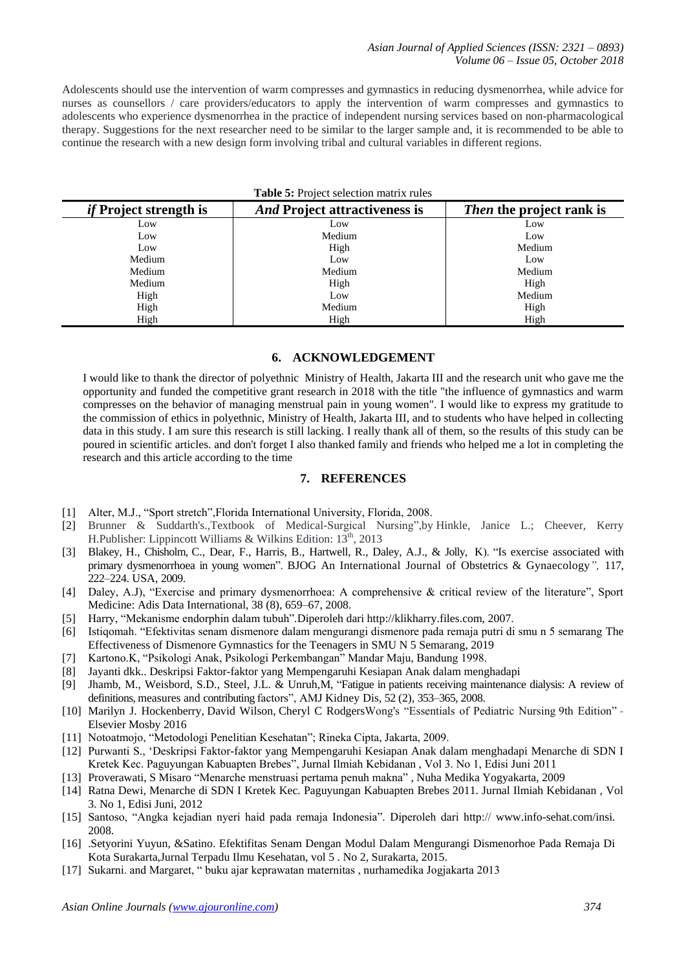Adolescents should use the intervention of warm compresses and gymnastics in reducing dysmenorrhea, while advice for nurses as counsellors / care providers/educators to apply the intervention of warm compresses and gymnastics to adolescents who experience dysmenorrhea in the practice of independent nursing services based on non-pharmacological therapy. Suggestions for the next researcher need to be similar to the larger sample and, it is recommended to be able to continue the research with a new design form involving tribal and cultural variables in different regions.

| Table 5: Project selection matrix rules |                                      |                                 |  |  |  |  |
|-----------------------------------------|--------------------------------------|---------------------------------|--|--|--|--|
| <i>if</i> Project strength is           | <i>And</i> Project attractiveness is | <i>Then</i> the project rank is |  |  |  |  |
| Low                                     | Low                                  | Low                             |  |  |  |  |
| Low                                     | Medium                               | Low                             |  |  |  |  |
| Low                                     | High                                 | Medium                          |  |  |  |  |
| Medium                                  | Low                                  | Low                             |  |  |  |  |
| Medium                                  | Medium                               | Medium                          |  |  |  |  |
| Medium                                  | High                                 | High                            |  |  |  |  |
| High                                    | Low                                  | Medium                          |  |  |  |  |
| High                                    | Medium                               | High                            |  |  |  |  |
| High                                    | High                                 | High                            |  |  |  |  |

#### **6. ACKNOWLEDGEMENT**

I would like to thank the director of polyethnic Ministry of Health, Jakarta III and the research unit who gave me the opportunity and funded the competitive grant research in 2018 with the title "the influence of gymnastics and warm compresses on the behavior of managing menstrual pain in young women". I would like to express my gratitude to the commission of ethics in polyethnic, Ministry of Health, Jakarta III, and to students who have helped in collecting data in this study. I am sure this research is still lacking. I really thank all of them, so the results of this study can be poured in scientific articles. and don't forget I also thanked family and friends who helped me a lot in completing the research and this article according to the time

## **7. REFERENCES**

- [1] Alter, M.J., "Sport stretch",Florida International University, Florida, 2008.
- [2] Brunner & Suddarth's.,Textbook of Medical-Surgical Nursing",by Hinkle, Janice L.; Cheever, Kerry H.Publisher: Lippincott Williams & Wilkins Edition:  $13<sup>th</sup>$ , 2013
- [3] Blakey, H., Chisholm, C., Dear, F., Harris, B., Hartwell, R., Daley, A.J., & Jolly, K). "Is exercise associated with primary dysmenorrhoea in young women". BJOG An International Journal of Obstetrics & Gynaecology*",* 117, 222–224. USA, 2009.
- [4] Daley, A.J), "Exercise and primary dysmenorrhoea: A comprehensive & critical review of the literature", Sport Medicine: Adis Data International, 38 (8), 659–67, 2008.
- [5] Harry, "Mekanisme endorphin dalam tubuh"*.*Diperoleh dar[i http://klikharry.files.](http://klikharry.files/)com, 2007.
- [6] Istiqomah. "Efektivitas senam dismenore dalam mengurangi dismenore pada remaja putri di smu n 5 semarang The Effectiveness of Dismenore Gymnastics for the Teenagers in SMU N 5 Semarang, 2019
- [7] Kartono.K, "Psikologi Anak, Psikologi Perkembangan" Mandar Maju, Bandung 1998.
- [8] Jayanti dkk.. Deskripsi Faktor-faktor yang Mempengaruhi Kesiapan Anak dalam menghadapi
- [9] Jhamb, M., Weisbord, S.D., Steel, J.L. & Unruh,M, "Fatigue in patients receiving maintenance dialysis: A review of definitions, measures and contributing factors", AMJ Kidney Dis, 52 (2), 353–365, 2008.
- [10] [Marilyn J. Hockenberry,](https://www.google.co.id/search?hl=id&tbo=p&tbm=bks&q=inauthor:%22Marilyn+J.+Hockenberry%22) [David Wilson,](https://www.google.co.id/search?hl=id&tbo=p&tbm=bks&q=inauthor:%22David+Wilson%22) [Cheryl C RodgersW](https://www.google.co.id/search?hl=id&tbo=p&tbm=bks&q=inauthor:%22Cheryl+C+Rodgers%22)ong's "Essentials of Pediatric Nursing 9th Edition" Elsevier Mosby 2016
- [11] Notoatmojo, "Metodologi Penelitian Kesehatan"; Rineka Cipta, Jakarta, 2009.
- [12] Purwanti S., 'Deskripsi Faktor-faktor yang Mempengaruhi Kesiapan Anak dalam menghadapi Menarche di SDN I Kretek Kec. Paguyungan Kabuapten Brebes", Jurnal Ilmiah Kebidanan , Vol 3. No 1, Edisi Juni 2011
- [13] [Proverawati,](https://scholar.google.co.id/citations?user=SgM-bkUAAAAJ&hl=id&oi=sra) S Misaro "Menarche menstruasi pertama penuh makna" , Nuha Medika Yogyakarta, 2009
- [14] Ratna Dewi, Menarche di SDN I Kretek Kec. Paguyungan Kabuapten Brebes 2011. Jurnal Ilmiah Kebidanan , Vol 3. No 1, Edisi Juni, 2012
- [15] Santoso, "Angka kejadian nyeri haid pada remaja Indonesia". Diperoleh dari http:// [www.info-sehat.com/insi.](http://www.info-sehat.com/insi) 2008.
- [16] .Setyorini Yuyun, &Satino. Efektifitas Senam Dengan Modul Dalam Mengurangi Dismenorhoe Pada Remaja Di Kota Surakarta,Jurnal Terpadu Ilmu Kesehatan, vol 5 . No 2, Surakarta, 2015.
- [17] Sukarni. and Margaret, " buku ajar keprawatan maternitas , nurhamedika Jogjakarta 2013